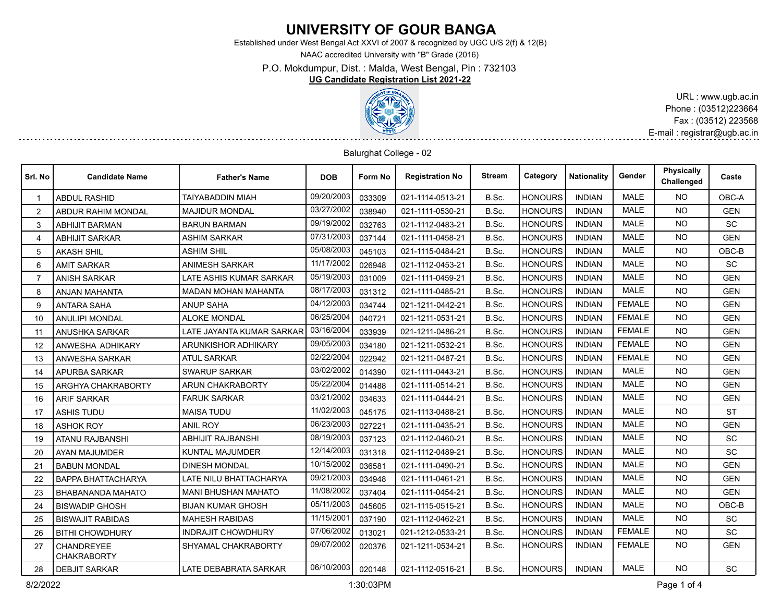# **UNIVERSITY OF GOUR BANGA**

Established under West Bengal Act XXVI of 2007 & recognized by UGC U/S 2(f) & 12(B)

NAAC accredited University with "B" Grade (2016)

P.O. Mokdumpur, Dist. : Malda, West Bengal, Pin : 732103

### **UG Candidate Registration List 2021-22**



URL : www.ugb.ac.in Phone : (03512)223664 Fax : (03512) 223568 E-mail : registrar@ugb.ac.in

#### Balurghat College - 02

| Srl. No        | <b>Candidate Name</b>                   | <b>Father's Name</b>         | <b>DOB</b> | Form No | <b>Registration No</b> | Stream | Category       | <b>Nationality</b> | Gender        | <b>Physically</b><br>Challenged | Caste      |
|----------------|-----------------------------------------|------------------------------|------------|---------|------------------------|--------|----------------|--------------------|---------------|---------------------------------|------------|
|                | <b>ABDUL RASHID</b>                     | TAIYABADDIN MIAH             | 09/20/2003 | 033309  | 021-1114-0513-21       | B.Sc.  | <b>HONOURS</b> | <b>INDIAN</b>      | <b>MALE</b>   | <b>NO</b>                       | OBC-A      |
| 2              | <b>ABDUR RAHIM MONDAL</b>               | <b>MAJIDUR MONDAL</b>        | 03/27/2002 | 038940  | 021-1111-0530-21       | B.Sc.  | <b>HONOURS</b> | <b>INDIAN</b>      | <b>MALE</b>   | <b>NO</b>                       | <b>GEN</b> |
| 3              | <b>ABHIJIT BARMAN</b>                   | <b>BARUN BARMAN</b>          | 09/19/2002 | 032763  | 021-1112-0483-21       | B.Sc.  | <b>HONOURS</b> | <b>INDIAN</b>      | <b>MALE</b>   | NO.                             | <b>SC</b>  |
| 4              | <b>ABHIJIT SARKAR</b>                   | <b>ASHIM SARKAR</b>          | 07/31/2003 | 037144  | 021-1111-0458-21       | B.Sc.  | <b>HONOURS</b> | <b>INDIAN</b>      | <b>MALE</b>   | <b>NO</b>                       | <b>GEN</b> |
| 5              | <b>AKASH SHIL</b>                       | <b>ASHIM SHIL</b>            | 05/08/2003 | 045103  | 021-1115-0484-21       | B.Sc.  | <b>HONOURS</b> | <b>INDIAN</b>      | <b>MALE</b>   | <b>NO</b>                       | OBC-B      |
| 6              | <b>AMIT SARKAR</b>                      | ANIMESH SARKAR               | 11/17/2002 | 026948  | 021-1112-0453-21       | B.Sc.  | <b>HONOURS</b> | <b>INDIAN</b>      | <b>MALE</b>   | <b>NO</b>                       | SC         |
| $\overline{7}$ | <b>ANISH SARKAR</b>                     | LATE ASHIS KUMAR SARKAR      | 05/19/2003 | 031009  | 021-1111-0459-21       | B.Sc.  | <b>HONOURS</b> | <b>INDIAN</b>      | <b>MALE</b>   | <b>NO</b>                       | <b>GEN</b> |
| 8              | <b>ANJAN MAHANTA</b>                    | <b>MADAN MOHAN MAHANTA</b>   | 08/17/2003 | 031312  | 021-1111-0485-21       | B.Sc.  | <b>HONOURS</b> | <b>INDIAN</b>      | <b>MALE</b>   | <b>NO</b>                       | <b>GEN</b> |
| 9              | <b>ANTARA SAHA</b>                      | <b>ANUP SAHA</b>             | 04/12/2003 | 034744  | 021-1211-0442-21       | B.Sc.  | <b>HONOURS</b> | <b>INDIAN</b>      | <b>FEMALE</b> | <b>NO</b>                       | <b>GEN</b> |
| 10             | <b>ANULIPI MONDAL</b>                   | <b>ALOKE MONDAL</b>          | 06/25/2004 | 040721  | 021-1211-0531-21       | B.Sc.  | <b>HONOURS</b> | <b>INDIAN</b>      | <b>FEMALE</b> | <b>NO</b>                       | <b>GEN</b> |
| 11             | ANUSHKA SARKAR                          | LATE JAYANTA KUMAR SARKAR    | 03/16/2004 | 033939  | 021-1211-0486-21       | B.Sc.  | <b>HONOURS</b> | <b>INDIAN</b>      | <b>FEMALE</b> | <b>NO</b>                       | <b>GEN</b> |
| 12             | ANWESHA ADHIKARY                        | ARUNKISHOR ADHIKARY          | 09/05/2003 | 034180  | 021-1211-0532-21       | B.Sc.  | <b>HONOURS</b> | <b>INDIAN</b>      | <b>FEMALE</b> | <b>NO</b>                       | <b>GEN</b> |
| 13             | ANWESHA SARKAR                          | <b>ATUL SARKAR</b>           | 02/22/2004 | 022942  | 021-1211-0487-21       | B.Sc.  | <b>HONOURS</b> | <b>INDIAN</b>      | <b>FEMALE</b> | <b>NO</b>                       | <b>GEN</b> |
| 14             | <b>APURBA SARKAR</b>                    | <b>SWARUP SARKAR</b>         | 03/02/2002 | 014390  | 021-1111-0443-21       | B.Sc.  | <b>HONOURS</b> | <b>INDIAN</b>      | <b>MALE</b>   | <b>NO</b>                       | <b>GEN</b> |
| 15             | ARGHYA CHAKRABORTY                      | <b>ARUN CHAKRABORTY</b>      | 05/22/2004 | 014488  | 021-1111-0514-21       | B.Sc.  | HONOURS        | <b>INDIAN</b>      | <b>MALE</b>   | NO.                             | <b>GEN</b> |
| 16             | <b>ARIF SARKAR</b>                      | <b>FARUK SARKAR</b>          | 03/21/2002 | 034633  | 021-1111-0444-21       | B.Sc.  | <b>HONOURS</b> | <b>INDIAN</b>      | <b>MALE</b>   | <b>NO</b>                       | <b>GEN</b> |
| 17             | <b>ASHIS TUDU</b>                       | <b>MAISA TUDU</b>            | 11/02/2003 | 045175  | 021-1113-0488-21       | B.Sc.  | <b>HONOURS</b> | <b>INDIAN</b>      | <b>MALE</b>   | <b>NO</b>                       | <b>ST</b>  |
| 18             | <b>ASHOK ROY</b>                        | <b>ANIL ROY</b>              | 06/23/2003 | 027221  | 021-1111-0435-21       | B.Sc.  | <b>HONOURS</b> | <b>INDIAN</b>      | <b>MALE</b>   | <b>NO</b>                       | <b>GEN</b> |
| 19             | <b>ATANU RAJBANSHI</b>                  | <b>ABHIJIT RAJBANSHI</b>     | 08/19/2003 | 037123  | 021-1112-0460-21       | B.Sc.  | <b>HONOURS</b> | <b>INDIAN</b>      | <b>MALE</b>   | <b>NO</b>                       | <b>SC</b>  |
| 20             | AYAN MAJUMDER                           | <b>KUNTAL MAJUMDER</b>       | 12/14/2003 | 031318  | 021-1112-0489-21       | B.Sc.  | <b>HONOURS</b> | <b>INDIAN</b>      | <b>MALE</b>   | <b>NO</b>                       | <b>SC</b>  |
| 21             | <b>BABUN MONDAL</b>                     | <b>DINESH MONDAL</b>         | 10/15/2002 | 036581  | 021-1111-0490-21       | B.Sc.  | <b>HONOURS</b> | <b>INDIAN</b>      | <b>MALE</b>   | <b>NO</b>                       | <b>GEN</b> |
| 22             | <b>BAPPA BHATTACHARYA</b>               | LATE NILU BHATTACHARYA       | 09/21/2003 | 034948  | 021-1111-0461-21       | B.Sc.  | <b>HONOURS</b> | <b>INDIAN</b>      | <b>MALE</b>   | <b>NO</b>                       | <b>GEN</b> |
| 23             | BHABANANDA MAHATO                       | <b>MANI BHUSHAN MAHATO</b>   | 11/08/2002 | 037404  | 021-1111-0454-21       | B.Sc.  | <b>HONOURS</b> | <b>INDIAN</b>      | <b>MALE</b>   | <b>NO</b>                       | <b>GEN</b> |
| 24             | <b>BISWADIP GHOSH</b>                   | <b>BIJAN KUMAR GHOSH</b>     | 05/11/2003 | 045605  | 021-1115-0515-21       | B.Sc.  | <b>HONOURS</b> | <b>INDIAN</b>      | <b>MALE</b>   | <b>NO</b>                       | OBC-B      |
| 25             | <b>BISWAJIT RABIDAS</b>                 | <b>MAHESH RABIDAS</b>        | 11/15/2001 | 037190  | 021-1112-0462-21       | B.Sc.  | <b>HONOURS</b> | <b>INDIAN</b>      | <b>MALE</b>   | <b>NO</b>                       | SC         |
| 26             | <b>BITHI CHOWDHURY</b>                  | <b>INDRAJIT CHOWDHURY</b>    | 07/06/2002 | 013021  | 021-1212-0533-21       | B.Sc.  | <b>HONOURS</b> | <b>INDIAN</b>      | <b>FEMALE</b> | <b>NO</b>                       | SC         |
| 27             | <b>CHANDREYEE</b><br><b>CHAKRABORTY</b> | SHYAMAL CHAKRABORTY          | 09/07/2002 | 020376  | 021-1211-0534-21       | B.Sc.  | <b>HONOURS</b> | <b>INDIAN</b>      | <b>FEMALE</b> | <b>NO</b>                       | <b>GEN</b> |
| 28             | <b>DEBJIT SARKAR</b>                    | <b>LATE DEBABRATA SARKAR</b> | 06/10/2003 | 020148  | 021-1112-0516-21       | B.Sc.  | <b>HONOURS</b> | <b>INDIAN</b>      | MALE          | <b>NO</b>                       | <b>SC</b>  |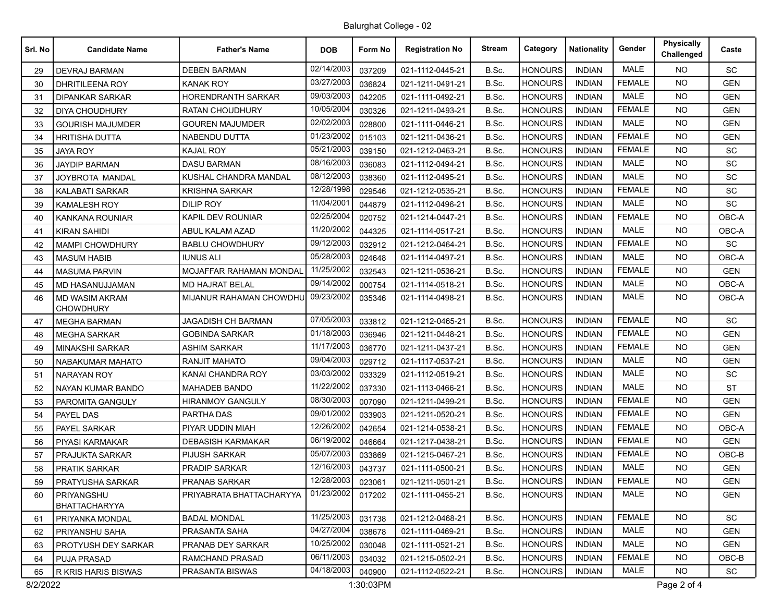## Balurghat College - 02

| Srl. No | <b>Candidate Name</b>                     | <b>Father's Name</b>      | <b>DOB</b> | Form No | <b>Registration No</b> | <b>Stream</b> | Category       | <b>Nationality</b> | Gender        | Physically<br>Challenged | Caste      |
|---------|-------------------------------------------|---------------------------|------------|---------|------------------------|---------------|----------------|--------------------|---------------|--------------------------|------------|
| 29      | <b>DEVRAJ BARMAN</b>                      | <b>DEBEN BARMAN</b>       | 02/14/2003 | 037209  | 021-1112-0445-21       | B.Sc.         | <b>HONOURS</b> | <b>INDIAN</b>      | <b>MALE</b>   | NO.                      | <b>SC</b>  |
| 30      | DHRITILEENA ROY                           | KANAK ROY                 | 03/27/2003 | 036824  | 021-1211-0491-21       | B.Sc.         | <b>HONOURS</b> | <b>INDIAN</b>      | <b>FEMALE</b> | NO.                      | <b>GEN</b> |
| 31      | <b>DIPANKAR SARKAR</b>                    | HORENDRANTH SARKAR        | 09/03/2003 | 042205  | 021-1111-0492-21       | B.Sc.         | <b>HONOURS</b> | <b>INDIAN</b>      | <b>MALE</b>   | <b>NO</b>                | <b>GEN</b> |
| 32      | DIYA CHOUDHURY                            | <b>RATAN CHOUDHURY</b>    | 10/05/2004 | 030326  | 021-1211-0493-21       | B.Sc.         | <b>HONOURS</b> | <b>INDIAN</b>      | <b>FEMALE</b> | <b>NO</b>                | <b>GEN</b> |
| 33      | <b>GOURISH MAJUMDER</b>                   | <b>GOUREN MAJUMDER</b>    | 02/02/2003 | 028800  | 021-1111-0446-21       | B.Sc.         | <b>HONOURS</b> | <b>INDIAN</b>      | <b>MALE</b>   | NO.                      | <b>GEN</b> |
| 34      | HRITISHA DUTTA                            | NABENDU DUTTA             | 01/23/2002 | 015103  | 021-1211-0436-21       | B.Sc.         | <b>HONOURS</b> | <b>INDIAN</b>      | <b>FEMALE</b> | <b>NO</b>                | GEN        |
| 35      | <b>JAYA ROY</b>                           | <b>KAJAL ROY</b>          | 05/21/2003 | 039150  | 021-1212-0463-21       | B.Sc.         | <b>HONOURS</b> | <b>INDIAN</b>      | <b>FEMALE</b> | NO.                      | SC         |
| 36      | <b>JAYDIP BARMAN</b>                      | <b>DASU BARMAN</b>        | 08/16/2003 | 036083  | 021-1112-0494-21       | B.Sc.         | <b>HONOURS</b> | <b>INDIAN</b>      | <b>MALE</b>   | NO.                      | <b>SC</b>  |
| 37      | JOYBROTA MANDAL                           | KUSHAL CHANDRA MANDAL     | 08/12/2003 | 038360  | 021-1112-0495-21       | B.Sc.         | <b>HONOURS</b> | <b>INDIAN</b>      | <b>MALE</b>   | NO.                      | SC         |
| 38      | KALABATI SARKAR                           | KRISHNA SARKAR            | 12/28/1998 | 029546  | 021-1212-0535-21       | B.Sc.         | HONOURS        | <b>INDIAN</b>      | <b>FEMALE</b> | <b>NO</b>                | SC         |
| 39      | <b>KAMALESH ROY</b>                       | <b>DILIP ROY</b>          | 11/04/2001 | 044879  | 021-1112-0496-21       | B.Sc.         | <b>HONOURS</b> | <b>INDIAN</b>      | <b>MALE</b>   | <b>NO</b>                | <b>SC</b>  |
| 40      | <b>KANKANA ROUNIAR</b>                    | KAPIL DEV ROUNIAR         | 02/25/2004 | 020752  | 021-1214-0447-21       | B.Sc.         | <b>HONOURS</b> | <b>INDIAN</b>      | <b>FEMALE</b> | <b>NO</b>                | OBC-A      |
| 41      | <b>KIRAN SAHIDI</b>                       | ABUL KALAM AZAD           | 11/20/2002 | 044325  | 021-1114-0517-21       | B.Sc.         | <b>HONOURS</b> | <b>INDIAN</b>      | <b>MALE</b>   | NO.                      | OBC-A      |
| 42      | <b>MAMPI CHOWDHURY</b>                    | <b>BABLU CHOWDHURY</b>    | 09/12/2003 | 032912  | 021-1212-0464-21       | B.Sc.         | <b>HONOURS</b> | <b>INDIAN</b>      | <b>FEMALE</b> | <b>NO</b>                | SC.        |
| 43      | <b>MASUM HABIB</b>                        | <b>IUNUS ALI</b>          | 05/28/2003 | 024648  | 021-1114-0497-21       | B.Sc.         | <b>HONOURS</b> | <b>INDIAN</b>      | <b>MALE</b>   | <b>NO</b>                | OBC-A      |
| 44      | <b>MASUMA PARVIN</b>                      | MOJAFFAR RAHAMAN MONDAL   | 11/25/2002 | 032543  | 021-1211-0536-21       | B.Sc.         | <b>HONOURS</b> | <b>INDIAN</b>      | <b>FEMALE</b> | <b>NO</b>                | <b>GEN</b> |
| 45      | MD HASANUJJAMAN                           | <b>MD HAJRAT BELAL</b>    | 09/14/2002 | 000754  | 021-1114-0518-21       | B.Sc.         | <b>HONOURS</b> | <b>INDIAN</b>      | MALE          | NO.                      | OBC-A      |
| 46      | <b>MD WASIM AKRAM</b><br><b>CHOWDHURY</b> | MIJANUR RAHAMAN CHOWDHU   | 09/23/2002 | 035346  | 021-1114-0498-21       | B.Sc.         | <b>HONOURS</b> | <b>INDIAN</b>      | <b>MALE</b>   | NO.                      | OBC-A      |
| 47      | <b>MEGHA BARMAN</b>                       | <b>JAGADISH CH BARMAN</b> | 07/05/2003 | 033812  | 021-1212-0465-21       | B.Sc.         | <b>HONOURS</b> | <b>INDIAN</b>      | <b>FEMALE</b> | NO.                      | <b>SC</b>  |
| 48      | <b>MEGHA SARKAR</b>                       | <b>GOBINDA SARKAR</b>     | 01/18/2003 | 036946  | 021-1211-0448-21       | B.Sc.         | <b>HONOURS</b> | <b>INDIAN</b>      | <b>FEMALE</b> | NO.                      | <b>GEN</b> |
| 49      | <b>MINAKSHI SARKAR</b>                    | <b>ASHIM SARKAR</b>       | 11/17/2003 | 036770  | 021-1211-0437-21       | B.Sc.         | <b>HONOURS</b> | <b>INDIAN</b>      | <b>FEMALE</b> | NO.                      | <b>GEN</b> |
| 50      | NABAKUMAR MAHATO                          | RANJIT MAHATO             | 09/04/2003 | 029712  | 021-1117-0537-21       | B.Sc.         | <b>HONOURS</b> | <b>INDIAN</b>      | <b>MALE</b>   | NO.                      | <b>GEN</b> |
| 51      | <b>NARAYAN ROY</b>                        | KANAI CHANDRA ROY         | 03/03/2002 | 033329  | 021-1112-0519-21       | B.Sc.         | <b>HONOURS</b> | <b>INDIAN</b>      | <b>MALE</b>   | NO.                      | SC         |
| 52      | NAYAN KUMAR BANDO                         | <b>MAHADEB BANDO</b>      | 11/22/2002 | 037330  | 021-1113-0466-21       | B.Sc.         | <b>HONOURS</b> | <b>INDIAN</b>      | <b>MALE</b>   | <b>NO</b>                | <b>ST</b>  |
| 53      | PAROMITA GANGULY                          | <b>HIRANMOY GANGULY</b>   | 08/30/2003 | 007090  | 021-1211-0499-21       | B.Sc.         | <b>HONOURS</b> | <b>INDIAN</b>      | <b>FEMALE</b> | <b>NO</b>                | <b>GEN</b> |
| 54      | PAYEL DAS                                 | PARTHA DAS                | 09/01/2002 | 033903  | 021-1211-0520-21       | B.Sc.         | <b>HONOURS</b> | <b>INDIAN</b>      | <b>FEMALE</b> | NO.                      | <b>GEN</b> |
| 55      | PAYEL SARKAR                              | PIYAR UDDIN MIAH          | 12/26/2002 | 042654  | 021-1214-0538-21       | B.Sc.         | <b>HONOURS</b> | <b>INDIAN</b>      | <b>FEMALE</b> | NO.                      | OBC-A      |
| 56      | PIYASI KARMAKAR                           | <b>DEBASISH KARMAKAR</b>  | 06/19/2002 | 046664  | 021-1217-0438-21       | B.Sc.         | <b>HONOURS</b> | <b>INDIAN</b>      | <b>FEMALE</b> | <b>NO</b>                | <b>GEN</b> |
| 57      | PRAJUKTA SARKAR                           | PIJUSH SARKAR             | 05/07/2003 | 033869  | 021-1215-0467-21       | B.Sc.         | <b>HONOURS</b> | <b>INDIAN</b>      | <b>FEMALE</b> | <b>NO</b>                | $OBC-B$    |
| 58      | <b>PRATIK SARKAR</b>                      | <b>PRADIP SARKAR</b>      | 12/16/2003 | 043737  | 021-1111-0500-21       | B.Sc.         | <b>HONOURS</b> | <b>INDIAN</b>      | MALE          | NO.                      | <b>GEN</b> |
| 59      | <b>PRATYUSHA SARKAR</b>                   | PRANAB SARKAR             | 12/28/2003 | 023061  | 021-1211-0501-21       | B.Sc.         | <b>HONOURS</b> | INDIAN             | FEMALE        | NO.                      | <b>GEN</b> |
| 60      | PRIYANGSHU<br><b>BHATTACHARYYA</b>        | PRIYABRATA BHATTACHARYYA  | 01/23/2002 | 017202  | 021-1111-0455-21       | B.Sc.         | <b>HONOURS</b> | <b>INDIAN</b>      | MALE          | <b>NO</b>                | <b>GEN</b> |
| 61      | PRIYANKA MONDAL                           | <b>BADAL MONDAL</b>       | 11/25/2003 | 031738  | 021-1212-0468-21       | B.Sc.         | <b>HONOURS</b> | <b>INDIAN</b>      | <b>FEMALE</b> | NO.                      | <b>SC</b>  |
| 62      | PRIYANSHU SAHA                            | PRASANTA SAHA             | 04/27/2004 | 038678  | 021-1111-0469-21       | B.Sc.         | <b>HONOURS</b> | <b>INDIAN</b>      | <b>MALE</b>   | NO.                      | <b>GEN</b> |
| 63      | PROTYUSH DEY SARKAR                       | PRANAB DEY SARKAR         | 10/25/2002 | 030048  | 021-1111-0521-21       | B.Sc.         | <b>HONOURS</b> | <b>INDIAN</b>      | <b>MALE</b>   | NO.                      | <b>GEN</b> |
| 64      | <b>PUJA PRASAD</b>                        | RAMCHAND PRASAD           | 06/11/2003 | 034032  | 021-1215-0502-21       | B.Sc.         | <b>HONOURS</b> | <b>INDIAN</b>      | <b>FEMALE</b> | <b>NO</b>                | OBC-B      |
| 65      | R KRIS HARIS BISWAS                       | PRASANTA BISWAS           | 04/18/2003 | 040900  | 021-1112-0522-21       | B.Sc.         | <b>HONOURS</b> | <b>INDIAN</b>      | MALE          | NO.                      | <b>SC</b>  |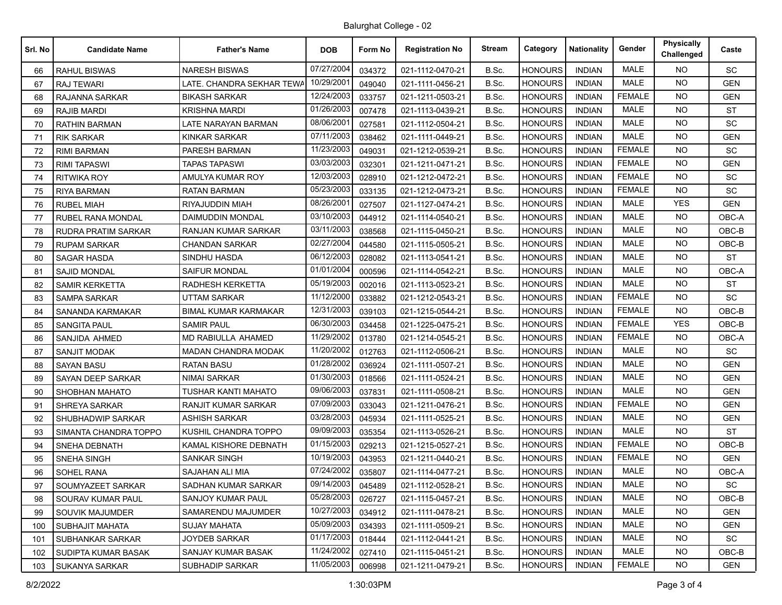## Balurghat College - 02

| Srl. No | <b>Candidate Name</b>      | <b>Father's Name</b>        | <b>DOB</b> | Form No | <b>Registration No</b> | <b>Stream</b> | Category       | <b>Nationality</b> | Gender        | <b>Physically</b><br>Challenged | Caste      |
|---------|----------------------------|-----------------------------|------------|---------|------------------------|---------------|----------------|--------------------|---------------|---------------------------------|------------|
| 66      | <b>RAHUL BISWAS</b>        | <b>NARESH BISWAS</b>        | 07/27/2004 | 034372  | 021-1112-0470-21       | B.Sc.         | <b>HONOURS</b> | <b>INDIAN</b>      | <b>MALE</b>   | <b>NO</b>                       | <b>SC</b>  |
| 67      | <b>RAJ TEWARI</b>          | LATE. CHANDRA SEKHAR TEWA   | 10/29/2001 | 049040  | 021-1111-0456-21       | B.Sc.         | <b>HONOURS</b> | <b>INDIAN</b>      | <b>MALE</b>   | <b>NO</b>                       | <b>GEN</b> |
| 68      | RAJANNA SARKAR             | <b>BIKASH SARKAR</b>        | 12/24/2003 | 033757  | 021-1211-0503-21       | B.Sc.         | <b>HONOURS</b> | <b>INDIAN</b>      | <b>FEMALE</b> | NO.                             | <b>GEN</b> |
| 69      | RAJIB MARDI                | <b>KRISHNA MARDI</b>        | 01/26/2003 | 007478  | 021-1113-0439-21       | B.Sc.         | <b>HONOURS</b> | <b>INDIAN</b>      | <b>MALE</b>   | <b>NO</b>                       | <b>ST</b>  |
| 70      | <b>RATHIN BARMAN</b>       | LATE NARAYAN BARMAN         | 08/06/2001 | 027581  | 021-1112-0504-21       | B.Sc.         | <b>HONOURS</b> | <b>INDIAN</b>      | <b>MALE</b>   | NO.                             | <b>SC</b>  |
| 71      | <b>RIK SARKAR</b>          | <b>KINKAR SARKAR</b>        | 07/11/2003 | 038462  | 021-1111-0449-21       | B.Sc.         | <b>HONOURS</b> | <b>INDIAN</b>      | <b>MALE</b>   | NO.                             | <b>GEN</b> |
| 72      | <b>RIMI BARMAN</b>         | PARESH BARMAN               | 11/23/2003 | 049031  | 021-1212-0539-21       | B.Sc.         | <b>HONOURS</b> | <b>INDIAN</b>      | <b>FEMALE</b> | NO.                             | <b>SC</b>  |
| 73      | <b>RIMI TAPASWI</b>        | <b>TAPAS TAPASWI</b>        | 03/03/2003 | 032301  | 021-1211-0471-21       | B.Sc.         | <b>HONOURS</b> | <b>INDIAN</b>      | <b>FEMALE</b> | <b>NO</b>                       | <b>GEN</b> |
| 74      | <b>RITWIKA ROY</b>         | AMULYA KUMAR ROY            | 12/03/2003 | 028910  | 021-1212-0472-21       | B.Sc.         | <b>HONOURS</b> | <b>INDIAN</b>      | <b>FEMALE</b> | NO.                             | SC         |
| 75      | <b>RIYA BARMAN</b>         | <b>RATAN BARMAN</b>         | 05/23/2003 | 033135  | 021-1212-0473-21       | B.Sc.         | <b>HONOURS</b> | <b>INDIAN</b>      | <b>FEMALE</b> | <b>NO</b>                       | SC         |
| 76      | <b>RUBEL MIAH</b>          | RIYAJUDDIN MIAH             | 08/26/2001 | 027507  | 021-1127-0474-21       | B.Sc.         | <b>HONOURS</b> | <b>INDIAN</b>      | <b>MALE</b>   | <b>YES</b>                      | <b>GEN</b> |
| 77      | <b>RUBEL RANA MONDAL</b>   | <b>DAIMUDDIN MONDAL</b>     | 03/10/2003 | 044912  | 021-1114-0540-21       | B.Sc.         | <b>HONOURS</b> | <b>INDIAN</b>      | <b>MALE</b>   | <b>NO</b>                       | OBC-A      |
| 78      | <b>RUDRA PRATIM SARKAR</b> | RANJAN KUMAR SARKAR         | 03/11/2003 | 038568  | 021-1115-0450-21       | B.Sc.         | <b>HONOURS</b> | <b>INDIAN</b>      | <b>MALE</b>   | NO.                             | $OBC-B$    |
| 79      | <b>RUPAM SARKAR</b>        | <b>CHANDAN SARKAR</b>       | 02/27/2004 | 044580  | 021-1115-0505-21       | B.Sc.         | <b>HONOURS</b> | <b>INDIAN</b>      | <b>MALE</b>   | NO.                             | OBC-B      |
| 80      | <b>SAGAR HASDA</b>         | SINDHU HASDA                | 06/12/2003 | 028082  | 021-1113-0541-21       | B.Sc.         | <b>HONOURS</b> | <b>INDIAN</b>      | <b>MALE</b>   | NO.                             | <b>ST</b>  |
| 81      | <b>SAJID MONDAL</b>        | <b>SAIFUR MONDAL</b>        | 01/01/2004 | 000596  | 021-1114-0542-21       | B.Sc.         | <b>HONOURS</b> | <b>INDIAN</b>      | <b>MALE</b>   | NO.                             | OBC-A      |
| 82      | <b>SAMIR KERKETTA</b>      | RADHESH KERKETTA            | 05/19/2003 | 002016  | 021-1113-0523-21       | B.Sc.         | <b>HONOURS</b> | <b>INDIAN</b>      | <b>MALE</b>   | NO.                             | <b>ST</b>  |
| 83      | <b>SAMPA SARKAR</b>        | UTTAM SARKAR                | 11/12/2000 | 033882  | 021-1212-0543-21       | B.Sc.         | HONOURS        | <b>INDIAN</b>      | <b>FEMALE</b> | <b>NO</b>                       | SC         |
| 84      | SANANDA KARMAKAR           | <b>BIMAL KUMAR KARMAKAR</b> | 12/31/2003 | 039103  | 021-1215-0544-21       | B.Sc.         | <b>HONOURS</b> | <b>INDIAN</b>      | <b>FEMALE</b> | <b>NO</b>                       | OBC-B      |
| 85      | <b>SANGITA PAUL</b>        | <b>SAMIR PAUL</b>           | 06/30/2003 | 034458  | 021-1225-0475-21       | B.Sc.         | <b>HONOURS</b> | <b>INDIAN</b>      | <b>FEMALE</b> | <b>YES</b>                      | OBC-B      |
| 86      | SANJIDA AHMED              | MD RABIULLA AHAMED          | 11/29/2002 | 013780  | 021-1214-0545-21       | B.Sc.         | <b>HONOURS</b> | <b>INDIAN</b>      | <b>FEMALE</b> | NO.                             | OBC-A      |
| 87      | <b>SANJIT MODAK</b>        | MADAN CHANDRA MODAK         | 11/20/2002 | 012763  | 021-1112-0506-21       | B.Sc.         | <b>HONOURS</b> | <b>INDIAN</b>      | <b>MALE</b>   | <b>NO</b>                       | <b>SC</b>  |
| 88      | <b>SAYAN BASU</b>          | <b>RATAN BASU</b>           | 01/28/2002 | 036924  | 021-1111-0507-21       | B.Sc.         | <b>HONOURS</b> | <b>INDIAN</b>      | <b>MALE</b>   | <b>NO</b>                       | <b>GEN</b> |
| 89      | SAYAN DEEP SARKAR          | <b>NIMAI SARKAR</b>         | 01/30/2003 | 018566  | 021-1111-0524-21       | B.Sc.         | <b>HONOURS</b> | <b>INDIAN</b>      | <b>MALE</b>   | <b>NO</b>                       | <b>GEN</b> |
| 90      | SHOBHAN MAHATO             | <b>TUSHAR KANTI MAHATO</b>  | 09/06/2003 | 037831  | 021-1111-0508-21       | B.Sc.         | <b>HONOURS</b> | <b>INDIAN</b>      | <b>MALE</b>   | NO.                             | <b>GEN</b> |
| 91      | <b>SHREYA SARKAR</b>       | RANJIT KUMAR SARKAR         | 07/09/2003 | 033043  | 021-1211-0476-21       | B.Sc.         | <b>HONOURS</b> | <b>INDIAN</b>      | <b>FEMALE</b> | <b>NO</b>                       | <b>GEN</b> |
| 92      | <b>SHUBHADWIP SARKAR</b>   | <b>ASHISH SARKAR</b>        | 03/28/2003 | 045934  | 021-1111-0525-21       | B.Sc.         | <b>HONOURS</b> | <b>INDIAN</b>      | <b>MALE</b>   | <b>NO</b>                       | <b>GEN</b> |
| 93      | SIMANTA CHANDRA TOPPO      | KUSHIL CHANDRA TOPPO        | 09/09/2003 | 035354  | 021-1113-0526-21       | B.Sc.         | <b>HONOURS</b> | <b>INDIAN</b>      | MALE          | NO.                             | <b>ST</b>  |
| 94      | <b>SNEHA DEBNATH</b>       | KAMAL KISHORE DEBNATH       | 01/15/2003 | 029213  | 021-1215-0527-21       | B.Sc.         | <b>HONOURS</b> | <b>INDIAN</b>      | <b>FEMALE</b> | NO.                             | OBC-B      |
| 95      | SNEHA SINGH                | <b>SANKAR SINGH</b>         | 10/19/2003 | 043953  | 021-1211-0440-21       | B.Sc.         | <b>HONOURS</b> | <b>INDIAN</b>      | <b>FEMALE</b> | <b>NO</b>                       | <b>GEN</b> |
| 96      | <b>SOHEL RANA</b>          | SAJAHAN ALI MIA             | 07/24/2002 | 035807  | 021-1114-0477-21       | B.Sc.         | <b>HONOURS</b> | <b>INDIAN</b>      | <b>MALE</b>   | <b>NO</b>                       | OBC-A      |
| 97      | SOUMYAZEET SARKAR          | SADHAN KUMAR SARKAR         | 09/14/2003 | 045489  | 021-1112-0528-21       | B.Sc.         | <b>HONOURS</b> | <b>INDIAN</b>      | MALE          | NO.                             | <b>SC</b>  |
| 98      | SOURAV KUMAR PAUL          | SANJOY KUMAR PAUL           | 05/28/2003 | 026727  | 021-1115-0457-21       | B.Sc.         | <b>HONOURS</b> | <b>INDIAN</b>      | MALE          | <b>NO</b>                       | OBC-B      |
| 99      | SOUVIK MAJUMDER            | SAMARENDU MAJUMDER          | 10/27/2003 | 034912  | 021-1111-0478-21       | B.Sc.         | <b>HONOURS</b> | <b>INDIAN</b>      | MALE          | <b>NO</b>                       | <b>GEN</b> |
| 100     | <b>SUBHAJIT MAHATA</b>     | SUJAY MAHATA                | 05/09/2003 | 034393  | 021-1111-0509-21       | B.Sc.         | <b>HONOURS</b> | <b>INDIAN</b>      | MALE          | <b>NO</b>                       | <b>GEN</b> |
| 101     | SUBHANKAR SARKAR           | JOYDEB SARKAR               | 01/17/2003 | 018444  | 021-1112-0441-21       | B.Sc.         | <b>HONOURS</b> | <b>INDIAN</b>      | MALE          | NO.                             | <b>SC</b>  |
| 102     | SUDIPTA KUMAR BASAK        | SANJAY KUMAR BASAK          | 11/24/2002 | 027410  | 021-1115-0451-21       | B.Sc.         | <b>HONOURS</b> | <b>INDIAN</b>      | MALE          | <b>NO</b>                       | OBC-B      |
| 103     | SUKANYA SARKAR             | <b>SUBHADIP SARKAR</b>      | 11/05/2003 | 006998  | 021-1211-0479-21       | B.Sc.         | <b>HONOURS</b> | <b>INDIAN</b>      | <b>FEMALE</b> | NO.                             | <b>GEN</b> |